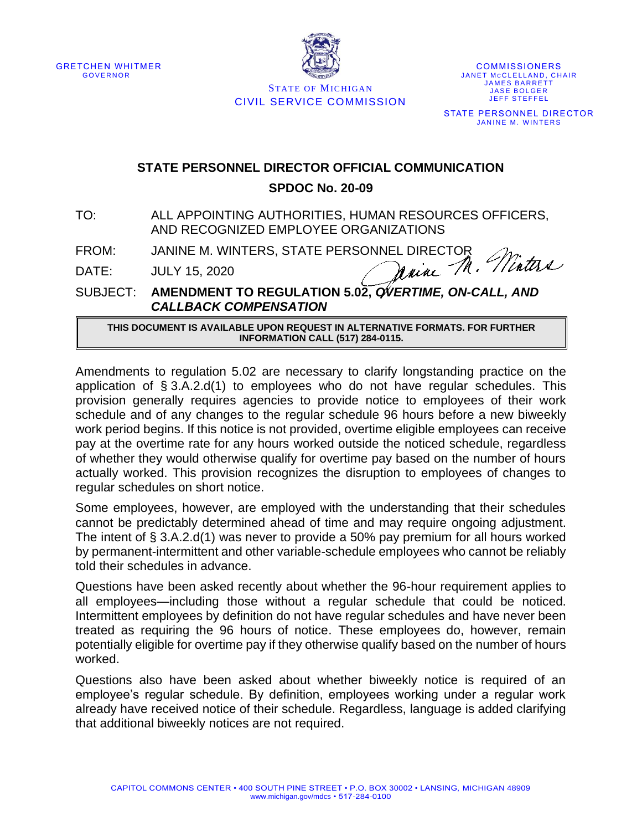



**STATE OF MICHIGAN** CIVIL SERVICE COMMISSION

**COMMISSIONERS** JANET MCCLELLAND, CHAIR **JAMES BARRETT** JASE BOLGER **JEFF STEFFEL** STATE PERSONNEL DIRECTOR **JANINE M. WINTERS** 

## **STATE PERSONNEL DIRECTOR OFFICIAL COMMUNICATION**

## **SPDOC No. 20-09**

TO: ALL APPOINTING AUTHORITIES, HUMAN RESOURCES OFFICERS, AND RECOGNIZED EMPLOYEE ORGANIZATIONS

FROM: JANINE M. WINTERS, STATE PERSONNEL DIRECTOR

DATE: JULY 15, 2020

Winters Maine M.

SUBJECT: **AMENDMENT TO REGULATION 5.02,** *OVERTIME, ON-CALL, AND CALLBACK COMPENSATION*

**THIS DOCUMENT IS AVAILABLE UPON REQUEST IN ALTERNATIVE FORMATS. FOR FURTHER INFORMATION CALL (517) 284-0115.**

Amendments to regulation 5.02 are necessary to clarify longstanding practice on the application of § 3.A.2.d(1) to employees who do not have regular schedules. This provision generally requires agencies to provide notice to employees of their work schedule and of any changes to the regular schedule 96 hours before a new biweekly work period begins. If this notice is not provided, overtime eligible employees can receive pay at the overtime rate for any hours worked outside the noticed schedule, regardless of whether they would otherwise qualify for overtime pay based on the number of hours actually worked. This provision recognizes the disruption to employees of changes to regular schedules on short notice.

Some employees, however, are employed with the understanding that their schedules cannot be predictably determined ahead of time and may require ongoing adjustment. The intent of § 3.A.2.d(1) was never to provide a 50% pay premium for all hours worked by permanent-intermittent and other variable-schedule employees who cannot be reliably told their schedules in advance.

Questions have been asked recently about whether the 96-hour requirement applies to all employees—including those without a regular schedule that could be noticed. Intermittent employees by definition do not have regular schedules and have never been treated as requiring the 96 hours of notice. These employees do, however, remain potentially eligible for overtime pay if they otherwise qualify based on the number of hours worked.

Questions also have been asked about whether biweekly notice is required of an employee's regular schedule. By definition, employees working under a regular work already have received notice of their schedule. Regardless, language is added clarifying that additional biweekly notices are not required.